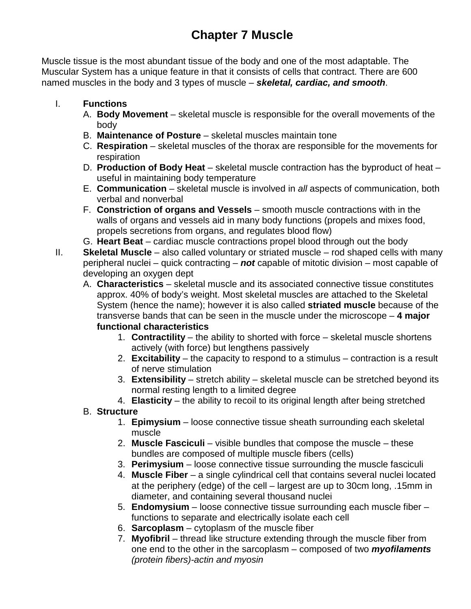# **Chapter 7 Muscle**

Muscle tissue is the most abundant tissue of the body and one of the most adaptable. The Muscular System has a unique feature in that it consists of cells that contract. There are 600 named muscles in the body and 3 types of muscle – *skeletal, cardiac, and smooth*.

- I. **Functions**
	- A. **Body Movement** skeletal muscle is responsible for the overall movements of the body
	- B. **Maintenance of Posture**  skeletal muscles maintain tone
	- C. **Respiration**  skeletal muscles of the thorax are responsible for the movements for respiration
	- D. **Production of Body Heat** skeletal muscle contraction has the byproduct of heat useful in maintaining body temperature
	- E. **Communication**  skeletal muscle is involved in *all* aspects of communication, both verbal and nonverbal
	- F. **Constriction of organs and Vessels** smooth muscle contractions with in the walls of organs and vessels aid in many body functions (propels and mixes food, propels secretions from organs, and regulates blood flow)
	- G. **Heart Beat**  cardiac muscle contractions propel blood through out the body
- II. **Skeletal Muscle** also called voluntary or striated muscle rod shaped cells with many peripheral nuclei – quick contracting – *not* capable of mitotic division – most capable of developing an oxygen dept
	- A. **Characteristics** skeletal muscle and its associated connective tissue constitutes approx. 40% of body's weight. Most skeletal muscles are attached to the Skeletal System (hence the name); however it is also called **striated muscle** because of the transverse bands that can be seen in the muscle under the microscope – **4 major functional characteristics**
		- 1. **Contractility** the ability to shorted with force skeletal muscle shortens actively (with force) but lengthens passively
		- 2. **Excitability**  the capacity to respond to a stimulus contraction is a result of nerve stimulation
		- 3. **Extensibility**  stretch ability skeletal muscle can be stretched beyond its normal resting length to a limited degree
		- 4. **Elasticity** the ability to recoil to its original length after being stretched

## B. **Structure**

- 1. **Epimysium** loose connective tissue sheath surrounding each skeletal muscle
- 2. **Muscle Fasciculi**  visible bundles that compose the muscle these bundles are composed of multiple muscle fibers (cells)
- 3. **Perimysium**  loose connective tissue surrounding the muscle fasciculi
- 4. **Muscle Fiber** a single cylindrical cell that contains several nuclei located at the periphery (edge) of the cell – largest are up to 30cm long, .15mm in diameter, and containing several thousand nuclei
- 5. **Endomysium**  loose connective tissue surrounding each muscle fiber functions to separate and electrically isolate each cell
- 6. **Sarcoplasm**  cytoplasm of the muscle fiber
- 7. **Myofibril**  thread like structure extending through the muscle fiber from one end to the other in the sarcoplasm – composed of two *myofilaments (protein fibers)-actin and myosin*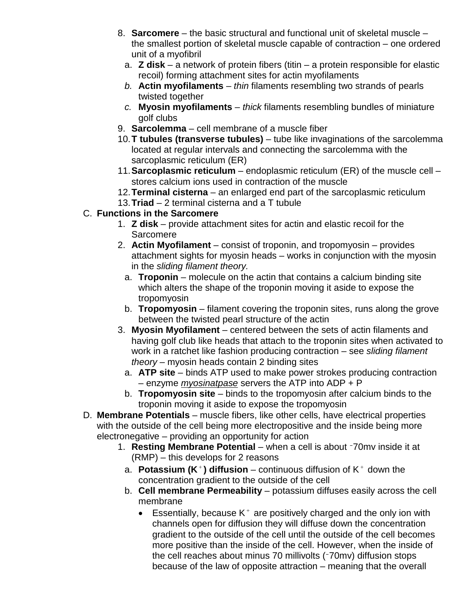- 8. **Sarcomere** the basic structural and functional unit of skeletal muscle the smallest portion of skeletal muscle capable of contraction – one ordered unit of a myofibril
	- a. **Z disk** a network of protein fibers (titin a protein responsible for elastic recoil) forming attachment sites for actin myofilaments
	- *b.* **Actin myofilaments**  *thin* filaments resembling two strands of pearls twisted together
	- *c.* **Myosin myofilaments**  *thick* filaments resembling bundles of miniature golf clubs
- 9. **Sarcolemma** cell membrane of a muscle fiber
- 10.**T tubules (transverse tubules)**  tube like invaginations of the sarcolemma located at regular intervals and connecting the sarcolemma with the sarcoplasmic reticulum (ER)
- 11.**Sarcoplasmic reticulum**  endoplasmic reticulum (ER) of the muscle cell stores calcium ions used in contraction of the muscle
- 12.**Terminal cisterna**  an enlarged end part of the sarcoplasmic reticulum
- 13.**Triad**  2 terminal cisterna and a T tubule

## C. **Functions in the Sarcomere**

- 1. **Z disk** provide attachment sites for actin and elastic recoil for the **Sarcomere**
- 2. **Actin Myofilament**  consist of troponin, and tropomyosin provides attachment sights for myosin heads – works in conjunction with the myosin in the *sliding filament theory.*
	- a. **Troponin** molecule on the actin that contains a calcium binding site which alters the shape of the troponin moving it aside to expose the tropomyosin
	- b. **Tropomyosin**  filament covering the troponin sites, runs along the grove between the twisted pearl structure of the actin
- 3. **Myosin Myofilament** centered between the sets of actin filaments and having golf club like heads that attach to the troponin sites when activated to work in a ratchet like fashion producing contraction – see *sliding filament theory* – myosin heads contain 2 binding sites
	- a. **ATP site** binds ATP used to make power strokes producing contraction – enzyme *myosinatpase* servers the ATP into ADP + P
- b. **Tropomyosin site**  binds to the tropomyosin after calcium binds to the troponin moving it aside to expose the tropomyosin
- D. **Membrane Potentials** muscle fibers, like other cells, have electrical properties with the outside of the cell being more electropositive and the inside being more electronegative – providing an opportunity for action
	- 1. **Resting Membrane Potential** when a cell is about 70mv inside it at (RMP) – this develops for 2 reasons
		- a. **Potassium (K<sup>+</sup>) diffusion** continuous diffusion of  $K^+$  down the concentration gradient to the outside of the cell
		- b. **Cell membrane Permeability**  potassium diffuses easily across the cell membrane
			- Essentially, because  $K^+$  are positively charged and the only ion with channels open for diffusion they will diffuse down the concentration gradient to the outside of the cell until the outside of the cell becomes more positive than the inside of the cell. However, when the inside of the cell reaches about minus 70 millivolts (-70mv) diffusion stops because of the law of opposite attraction – meaning that the overall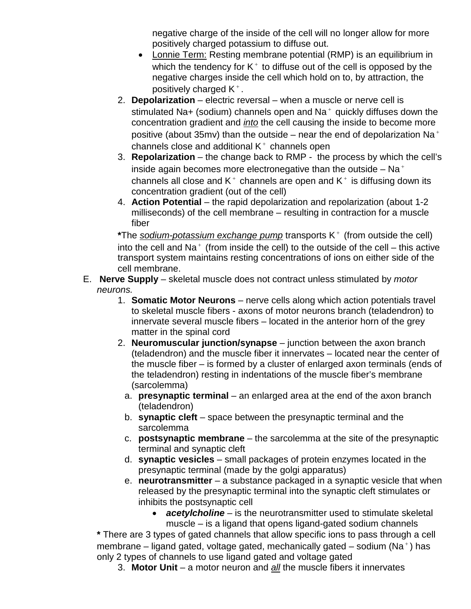negative charge of the inside of the cell will no longer allow for more positively charged potassium to diffuse out.

- Lonnie Term: Resting membrane potential (RMP) is an equilibrium in which the tendency for  $K^+$  to diffuse out of the cell is opposed by the negative charges inside the cell which hold on to, by attraction, the positively charged  $K^+$ .
- 2. **Depolarization** electric reversal when a muscle or nerve cell is stimulated Na+ (sodium) channels open and Na $^+$  quickly diffuses down the concentration gradient and *into* the cell causing the inside to become more positive (about 35mv) than the outside – near the end of depolarization Na<sup>+</sup> channels close and additional  $K^+$  channels open
- 3. **Repolarization**  the change back to RMP the process by which the cell's inside again becomes more electronegative than the outside  $-$  Na<sup>+</sup> channels all close and  $K^+$  channels are open and  $K^+$  is diffusing down its concentration gradient (out of the cell)
- 4. **Action Potential**  the rapid depolarization and repolarization (about 1-2 milliseconds) of the cell membrane – resulting in contraction for a muscle fiber

\*The *sodium-potassium exchange pump* transports K<sup>+</sup> (from outside the cell) into the cell and Na<sup>+</sup> (from inside the cell) to the outside of the cell – this active transport system maintains resting concentrations of ions on either side of the cell membrane.

- E. **Nerve Supply** skeletal muscle does not contract unless stimulated by *motor neurons.*
	- 1. **Somatic Motor Neurons** nerve cells along which action potentials travel to skeletal muscle fibers - axons of motor neurons branch (teladendron) to innervate several muscle fibers – located in the anterior horn of the grey matter in the spinal cord
	- 2. **Neuromuscular junction/synapse**  junction between the axon branch (teladendron) and the muscle fiber it innervates – located near the center of the muscle fiber – is formed by a cluster of enlarged axon terminals (ends of the teladendron) resting in indentations of the muscle fiber's membrane (sarcolemma)
		- a. **presynaptic terminal** an enlarged area at the end of the axon branch (teladendron)
		- b. **synaptic cleft**  space between the presynaptic terminal and the sarcolemma
		- c. **postsynaptic membrane**  the sarcolemma at the site of the presynaptic terminal and synaptic cleft
		- d. **synaptic vesicles**  small packages of protein enzymes located in the presynaptic terminal (made by the golgi apparatus)
		- e. **neurotransmitter** a substance packaged in a synaptic vesicle that when released by the presynaptic terminal into the synaptic cleft stimulates or inhibits the postsynaptic cell
			- *acetylcholine* is the neurotransmitter used to stimulate skeletal muscle – is a ligand that opens ligand-gated sodium channels

**\*** There are 3 types of gated channels that allow specific ions to pass through a cell membrane – ligand gated, voltage gated, mechanically gated – sodium (Na<sup>+</sup>) has only 2 types of channels to use ligand gated and voltage gated

3. **Motor Unit** – a motor neuron and *all* the muscle fibers it innervates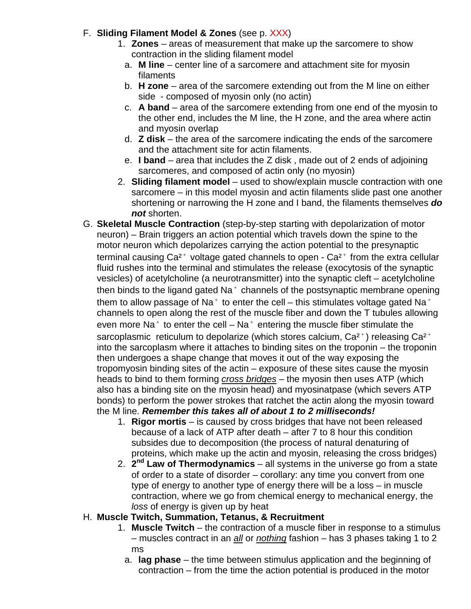#### F. **Sliding Filament Model & Zones** (see p. XXX)

- 1. **Zones** areas of measurement that make up the sarcomere to show contraction in the sliding filament model
	- a. **M line** center line of a sarcomere and attachment site for myosin filaments
	- b. **H** zone area of the sarcomere extending out from the M line on either side - composed of myosin only (no actin)
	- c. **A band**  area of the sarcomere extending from one end of the myosin to the other end, includes the M line, the H zone, and the area where actin and myosin overlap
	- d. **Z disk**  the area of the sarcomere indicating the ends of the sarcomere and the attachment site for actin filaments.
	- e. **I band** area that includes the Z disk , made out of 2 ends of adjoining sarcomeres, and composed of actin only (no myosin)
- 2. **Sliding filament model** used to show/explain muscle contraction with one sarcomere – in this model myosin and actin filaments slide past one another shortening or narrowing the H zone and I band, the filaments themselves *do not* shorten.
- G. **Skeletal Muscle Contraction** (step-by-step starting with depolarization of motor neuron) – Brain triggers an action potential which travels down the spine to the motor neuron which depolarizes carrying the action potential to the presynaptic terminal causing  $Ca^{2+}$  voltage gated channels to open -  $Ca^{2+}$  from the extra cellular fluid rushes into the terminal and stimulates the release (exocytosis of the synaptic vesicles) of acetylcholine (a neurotransmitter) into the synaptic cleft – acetylcholine then binds to the ligand gated  $Na<sup>+</sup>$  channels of the postsynaptic membrane opening them to allow passage of Na<sup>+</sup> to enter the cell – this stimulates voltage gated Na<sup>+</sup> channels to open along the rest of the muscle fiber and down the T tubules allowing even more Na<sup>+</sup> to enter the cell – Na<sup>+</sup> entering the muscle fiber stimulate the sarcoplasmic reticulum to depolarize (which stores calcium,  $Ca^{2+}$ ) releasing  $Ca^{2+}$ into the sarcoplasm where it attaches to binding sites on the troponin – the troponin then undergoes a shape change that moves it out of the way exposing the tropomyosin binding sites of the actin – exposure of these sites cause the myosin heads to bind to them forming *cross bridges* – the myosin then uses ATP (which also has a binding site on the myosin head) and myosinatpase (which severs ATP bonds) to perform the power strokes that ratchet the actin along the myosin toward the M line. *Remember this takes all of about 1 to 2 milliseconds!*
	- 1. **Rigor mortis** is caused by cross bridges that have not been released because of a lack of ATP after death – after 7 to 8 hour this condition subsides due to decomposition (the process of natural denaturing of proteins, which make up the actin and myosin, releasing the cross bridges)
	- 2. **2nd Law of Thermodynamics**  all systems in the universe go from a state of order to a state of disorder – corollary: any time you convert from one type of energy to another type of energy there will be a loss – in muscle contraction, where we go from chemical energy to mechanical energy, the *loss* of energy is given up by heat

#### H. **Muscle Twitch, Summation, Tetanus, & Recruitment**

- 1. **Muscle Twitch** the contraction of a muscle fiber in response to a stimulus – muscles contract in an *all* or *nothing* fashion – has 3 phases taking 1 to 2 ms
	- a. **lag phase** the time between stimulus application and the beginning of contraction – from the time the action potential is produced in the motor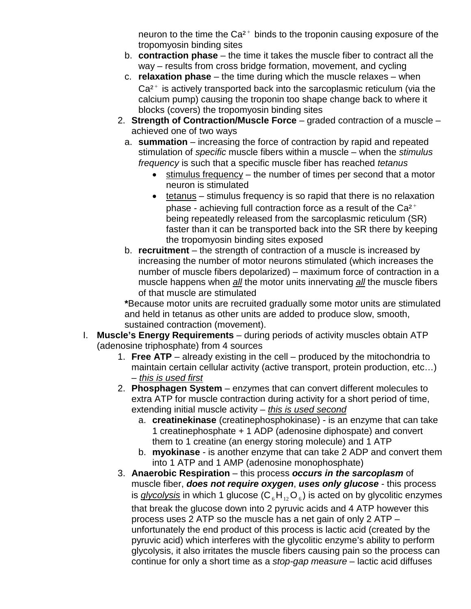neuron to the time the  $Ca^{2+}$  binds to the troponin causing exposure of the tropomyosin binding sites

- b. **contraction phase**  the time it takes the muscle fiber to contract all the way – results from cross bridge formation, movement, and cycling
- c. **relaxation phase**  the time during which the muscle relaxes when  $Ca<sup>2+</sup>$  is actively transported back into the sarcoplasmic reticulum (via the calcium pump) causing the troponin too shape change back to where it blocks (covers) the tropomyosin binding sites
- 2. **Strength of Contraction/Muscle Force** graded contraction of a muscle achieved one of two ways
	- a. **summation** increasing the force of contraction by rapid and repeated stimulation of *specific* muscle fibers within a muscle – when the *stimulus frequency* is such that a specific muscle fiber has reached *tetanus*
		- $\bullet$  stimulus frequency the number of times per second that a motor neuron is stimulated
		- $\bullet$  tetanus stimulus frequency is so rapid that there is no relaxation phase - achieving full contraction force as a result of the Ca<sup>2+</sup> being repeatedly released from the sarcoplasmic reticulum (SR) faster than it can be transported back into the SR there by keeping the tropomyosin binding sites exposed
	- b. **recruitment** the strength of contraction of a muscle is increased by increasing the number of motor neurons stimulated (which increases the number of muscle fibers depolarized) – maximum force of contraction in a muscle happens when *all* the motor units innervating *all* the muscle fibers of that muscle are stimulated

**\***Because motor units are recruited gradually some motor units are stimulated and held in tetanus as other units are added to produce slow, smooth, sustained contraction (movement).

- I. **Muscle's Energy Requirements** during periods of activity muscles obtain ATP (adenosine triphosphate) from 4 sources
	- 1. **Free ATP** already existing in the cell produced by the mitochondria to maintain certain cellular activity (active transport, protein production, etc…) – *this is used first*
	- 2. **Phosphagen System** enzymes that can convert different molecules to extra ATP for muscle contraction during activity for a short period of time, extending initial muscle activity – *this is used second*
		- a. **creatinekinase** (creatinephosphokinase) is an enzyme that can take 1 creatinephosphate + 1 ADP (adenosine diphospate) and convert them to 1 creatine (an energy storing molecule) and 1 ATP
		- b. **myokinase** is another enzyme that can take 2 ADP and convert them into 1 ATP and 1 AMP (adenosine monophosphate)
	- 3. **Anaerobic Respiration** this process *occurs in the sarcoplasm* of muscle fiber, *does not require oxygen*, *uses only glucose* - this process is *glycolysis* in which 1 glucose  $(C_{6}H_{12}O_{6})$  is acted on by glycolitic enzymes that break the glucose down into 2 pyruvic acids and 4 ATP however this process uses 2 ATP so the muscle has a net gain of only 2 ATP – unfortunately the end product of this process is lactic acid (created by the pyruvic acid) which interferes with the glycolitic enzyme's ability to perform glycolysis, it also irritates the muscle fibers causing pain so the process can continue for only a short time as a *stop-gap measure* – lactic acid diffuses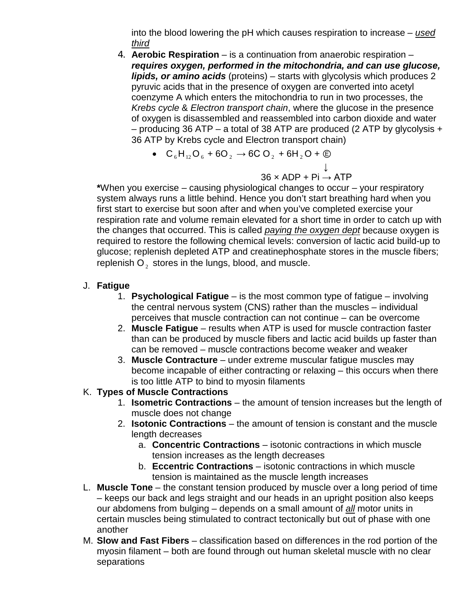into the blood lowering the pH which causes respiration to increase – *used third*

- 4. **Aerobic Respiration** is a continuation from anaerobic respiration *requires oxygen, performed in the mitochondria, and can use glucose, lipids, or amino acids* (proteins) – starts with glycolysis which produces 2 pyruvic acids that in the presence of oxygen are converted into acetyl coenzyme A which enters the mitochondria to run in two processes, the *Krebs cycle* & *Electron transport chain*, where the glucose in the presence of oxygen is disassembled and reassembled into carbon dioxide and water – producing 36 ATP – a total of 38 ATP are produced (2 ATP by glycolysis + 36 ATP by Krebs cycle and Electron transport chain)
	- $C_6H_{12}O_6 + 6O_2 \rightarrow 6CO_2 + 6H_2O + \textcircled{1}$

 ↓  $36 \times \mathsf{ADP}{}$  + Pi  $\rightarrow$  ATP

**\***When you exercise – causing physiological changes to occur – your respiratory system always runs a little behind. Hence you don't start breathing hard when you first start to exercise but soon after and when you've completed exercise your respiration rate and volume remain elevated for a short time in order to catch up with the changes that occurred. This is called *paying the oxygen dept* because oxygen is required to restore the following chemical levels: conversion of lactic acid build-up to glucose; replenish depleted ATP and creatinephosphate stores in the muscle fibers; replenish  $O<sub>2</sub>$  stores in the lungs, blood, and muscle.

- J. **Fatigue**
	- 1. **Psychological Fatigue** is the most common type of fatigue involving the central nervous system (CNS) rather than the muscles – individual perceives that muscle contraction can not continue – can be overcome
	- 2. **Muscle Fatigue**  results when ATP is used for muscle contraction faster than can be produced by muscle fibers and lactic acid builds up faster than can be removed – muscle contractions become weaker and weaker
	- 3. **Muscle Contracture** under extreme muscular fatigue muscles may become incapable of either contracting or relaxing – this occurs when there is too little ATP to bind to myosin filaments
- K. **Types of Muscle Contractions**
	- 1. **Isometric Contractions** the amount of tension increases but the length of muscle does not change
	- 2. **Isotonic Contractions**  the amount of tension is constant and the muscle length decreases
		- a. **Concentric Contractions** isotonic contractions in which muscle tension increases as the length decreases
		- b. **Eccentric Contractions**  isotonic contractions in which muscle tension is maintained as the muscle length increases
- L. **Muscle Tone** the constant tension produced by muscle over a long period of time – keeps our back and legs straight and our heads in an upright position also keeps our abdomens from bulging – depends on a small amount of *all* motor units in certain muscles being stimulated to contract tectonically but out of phase with one another
- M. **Slow and Fast Fibers**  classification based on differences in the rod portion of the myosin filament – both are found through out human skeletal muscle with no clear separations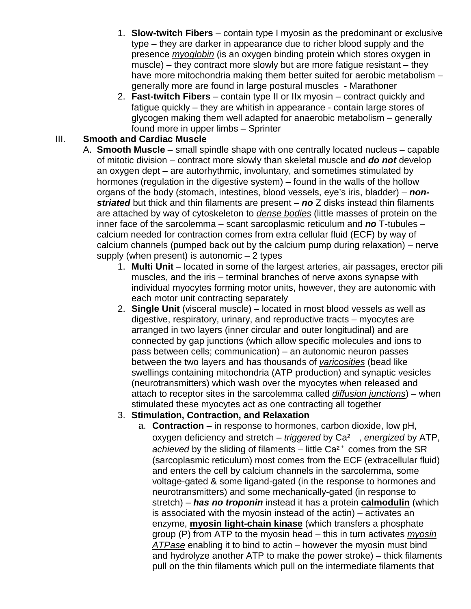- 1. **Slow-twitch Fibers** contain type I myosin as the predominant or exclusive type – they are darker in appearance due to richer blood supply and the presence *myoglobin* (is an oxygen binding protein which stores oxygen in muscle) – they contract more slowly but are more fatigue resistant – they have more mitochondria making them better suited for aerobic metabolism – generally more are found in large postural muscles - Marathoner
- 2. **Fast-twitch Fibers** contain type II or IIx myosin contract quickly and fatigue quickly – they are whitish in appearance - contain large stores of glycogen making them well adapted for anaerobic metabolism – generally found more in upper limbs – Sprinter

#### III. **Smooth and Cardiac Muscle**

- A. **Smooth Muscle** small spindle shape with one centrally located nucleus capable of mitotic division – contract more slowly than skeletal muscle and *do not* develop an oxygen dept – are autorhythmic, involuntary, and sometimes stimulated by hormones (regulation in the digestive system) – found in the walls of the hollow organs of the body (stomach, intestines, blood vessels, eye's iris, bladder) – *nonstriated* but thick and thin filaments are present – *no* Z disks instead thin filaments are attached by way of cytoskeleton to *dense bodies* (little masses of protein on the inner face of the sarcolemma – scant sarcoplasmic reticulum and *no* T-tubules – calcium needed for contraction comes from extra cellular fluid (ECF) by way of calcium channels (pumped back out by the calcium pump during relaxation) – nerve supply (when present) is autonomic  $-2$  types
	- 1. **Multi Unit** located in some of the largest arteries, air passages, erector pili muscles, and the iris – terminal branches of nerve axons synapse with individual myocytes forming motor units, however, they are autonomic with each motor unit contracting separately
	- 2. **Single Unit** (visceral muscle) located in most blood vessels as well as digestive, respiratory, urinary, and reproductive tracts – myocytes are arranged in two layers (inner circular and outer longitudinal) and are connected by gap junctions (which allow specific molecules and ions to pass between cells; communication) – an autonomic neuron passes between the two layers and has thousands of *varicosities* (bead like swellings containing mitochondria (ATP production) and synaptic vesicles (neurotransmitters) which wash over the myocytes when released and attach to receptor sites in the sarcolemma called *diffusion junctions*) – when stimulated these myocytes act as one contracting all together

## 3. **Stimulation, Contraction, and Relaxation**

a. **Contraction** – in response to hormones, carbon dioxide, low pH, oxygen deficiency and stretch – *triggered* by Ca<sup>2+</sup>, *energized* by ATP, *achieved* by the sliding of filaments – little  $Ca<sup>2+</sup>$  comes from the SR (sarcoplasmic reticulum) most comes from the ECF (extracellular fluid) and enters the cell by calcium channels in the sarcolemma, some voltage-gated & some ligand-gated (in the response to hormones and neurotransmitters) and some mechanically-gated (in response to stretch) – *has no troponin* instead it has a protein **calmodulin** (which is associated with the myosin instead of the actin) – activates an enzyme, **myosin light-chain kinase** (which transfers a phosphate group (P) from ATP to the myosin head – this in turn activates *myosin ATPase* enabling it to bind to actin – however the myosin must bind and hydrolyze another ATP to make the power stroke) – thick filaments pull on the thin filaments which pull on the intermediate filaments that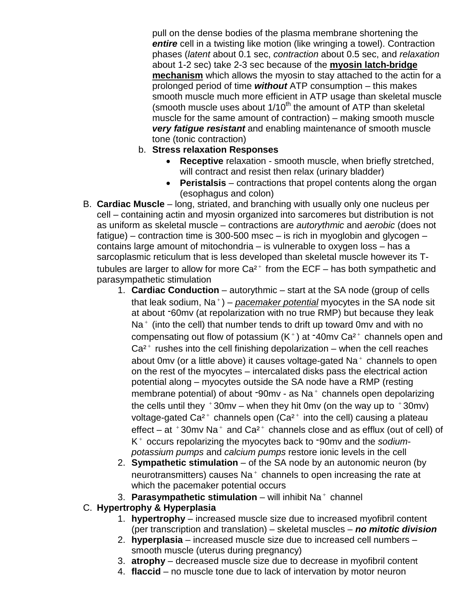pull on the dense bodies of the plasma membrane shortening the *entire* cell in a twisting like motion (like wringing a towel). Contraction phases (*latent* about 0.1 sec, *contraction* about 0.5 sec, and *relaxation* about 1-2 sec) take 2-3 sec because of the **myosin latch-bridge mechanism** which allows the myosin to stay attached to the actin for a prolonged period of time *without* ATP consumption – this makes smooth muscle much more efficient in ATP usage than skeletal muscle (smooth muscle uses about  $1/10^{th}$  the amount of ATP than skeletal muscle for the same amount of contraction) – making smooth muscle *very fatigue resistant* and enabling maintenance of smooth muscle tone (tonic contraction)

- b. **Stress relaxation Responses**
	- **Receptive** relaxation smooth muscle, when briefly stretched, will contract and resist then relax (urinary bladder)
	- **Peristalsis** contractions that propel contents along the organ (esophagus and colon)
- B. **Cardiac Muscle** long, striated, and branching with usually only one nucleus per cell – containing actin and myosin organized into sarcomeres but distribution is not as uniform as skeletal muscle – contractions are *autorythmic* and *aerobic* (does not fatigue) – contraction time is 300-500 msec – is rich in myoglobin and glycogen – contains large amount of mitochondria – is vulnerable to oxygen loss – has a sarcoplasmic reticulum that is less developed than skeletal muscle however its Ttubules are larger to allow for more  $Ca^{2+}$  from the ECF – has both sympathetic and parasympathetic stimulation
	- 1. **Cardiac Conduction** autorythmic start at the SA node (group of cells that leak sodium, Na<sup>+</sup>) – *pacemaker potential* myocytes in the SA node sit at about 60mv (at repolarization with no true RMP) but because they leak  $Na<sup>+</sup>$  (into the cell) that number tends to drift up toward 0mv and with no compensating out flow of potassium  $(K^+)$  at  $-40$ mv Ca<sup>2+</sup> channels open and  $Ca<sup>2+</sup>$  rushes into the cell finishing depolarization – when the cell reaches about 0mv (or a little above) it causes voltage-gated  $Na<sup>+</sup>$  channels to open on the rest of the myocytes – intercalated disks pass the electrical action potential along – myocytes outside the SA node have a RMP (resting membrane potential) of about  $-90$ mv - as Na $^+$  channels open depolarizing the cells until they  $+30$ mv – when they hit 0mv (on the way up to  $+30$ mv) voltage-gated  $Ca^{2+}$  channels open ( $Ca^{2+}$  into the cell) causing a plateau effect – at  $+30$ mv Na $+$  and Ca<sup>2+</sup> channels close and as efflux (out of cell) of K<sup>+</sup> occurs repolarizing the myocytes back to -90my and the *sodiumpotassium pumps* and *calcium pumps* restore ionic levels in the cell
	- 2. **Sympathetic stimulation** of the SA node by an autonomic neuron (by neurotransmitters) causes  $Na<sup>+</sup>$  channels to open increasing the rate at which the pacemaker potential occurs
	- 3. **Parasympathetic stimulation** will inhibit Na <sup>+</sup> channel
- C. **Hypertrophy & Hyperplasia**
	- 1. **hypertrophy** increased muscle size due to increased myofibril content (per transcription and translation) – skeletal muscles – *no mitotic division*
	- 2. **hyperplasia** increased muscle size due to increased cell numbers smooth muscle (uterus during pregnancy)
	- 3. **atrophy**  decreased muscle size due to decrease in myofibril content
	- 4. **flaccid**  no muscle tone due to lack of intervation by motor neuron